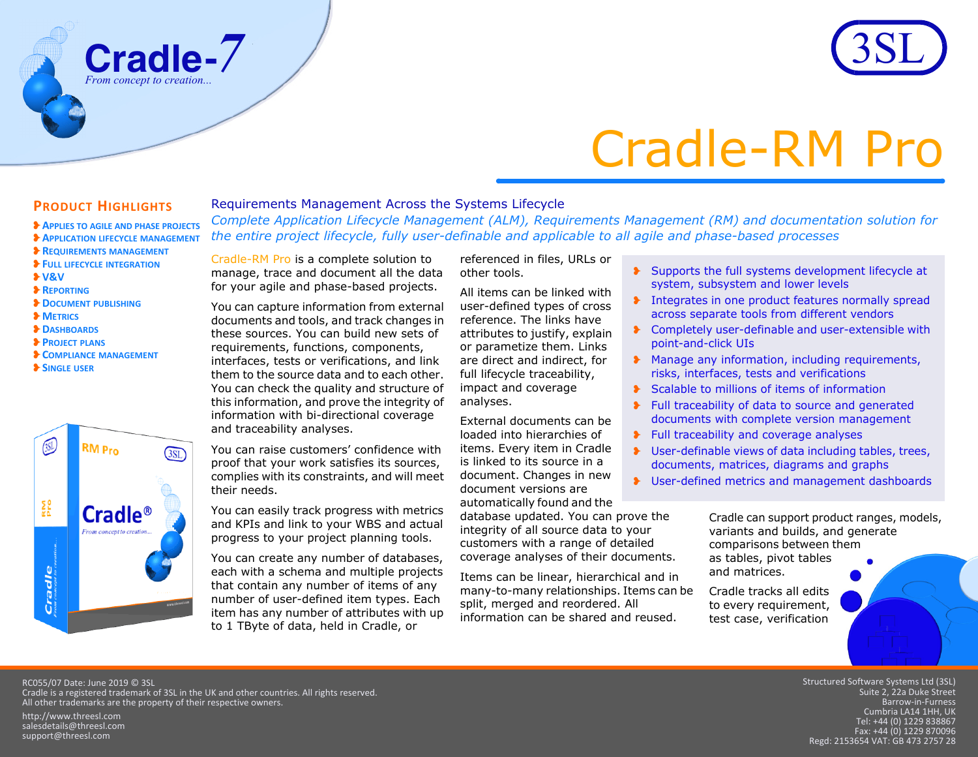



# Cradle-RM Pro

## **PRODUCT HIGHLIGHTS**

❥**DOCUMENT PUBLISHING**

❥**COMPLIANCE MANAGEMENT**

**RM Pro** 

**Cradle®** 

❥**V&V**❥**REPORTING**

❥**METRICS**❥**DASHBOARDS**❥**PROJECT PLANS**

❥**SINGLE USER**

 $\sum_{\alpha,\alpha}$ 

Cradle

❥**APPLIES TO AGILE AND PHASE PROJECTS** ❥**APPLICATION LIFECYCLE MANAGEMENT** ❥**REQUIREMENTS MANAGEMENT** ❥**FULL LIFECYCLE INTEGRATION**

## Requirements Management Across the Systems Lifecycle

*Complete Application Lifecycle Management (ALM), Requirements Management (RM) and documentation solution for the entire project lifecycle, fully user-definable and applicable to all agile and phase-based processes*

Cradle-RM Pro is a complete solution to manage, trace and document all the data for your agile and phase-based projects.

You can capture information from external documents and tools, and track changes in these sources. You can build new sets of requirements, functions, components, interfaces, tests or verifications, and link them to the source data and to each other. You can check the quality and structure of this information, and prove the integrity of information with bi-directional coverage and traceability analyses.

You can raise customers' confidence with proof that your work satisfies its sources, complies with its constraints, and will meet their needs.

You can easily track progress with metrics and KPIs and link to your WBS and actual progress to your project planning tools.

You can create any number of databases, each with a schema and multiple projects that contain any number of items of any number of user-defined item types. Each item has any number of attributes with up to 1 TByte of data, held in Cradle, or

referenced in files, URLs or other tools.

All items can be linked with user-defined types of cross reference. The links have attributes to justify, explain or parametize them. Links are direct and indirect, for full lifecycle traceability, impact and coverage analyses.

External documents can be loaded into hierarchies of items. Every item in Cradle is linked to its source in a document. Changes in new document versions are automatically found and the

database updated. You can prove the integrity of all source data to your customers with a range of detailed coverage analyses of their documents.

Items can be linear, hierarchical and in many-to-many relationships. Items can be split, merged and reordered. All information can be shared and reused.

- ❥ Supports the full systems development lifecycle at system, subsystem and lower levels
- **The Integrates in one product features normally spread** across separate tools from different vendors
- ❥ Completely user-definable and user-extensible with point-and-click UIs
- ❥ Manage any information, including requirements, risks, interfaces, tests and verifications
- ❥ Scalable to millions of items of information
- ❥ Full traceability of data to source and generated documents with complete version management
- ❥ Full traceability and coverage analyses
- ❥ User-definable views of data including tables, trees, documents, matrices, diagrams and graphs
- ❥ User-defined metrics and management dashboards

Cradle can support product ranges, models, variants and builds, and generate comparisons between them as tables, pivot tables and matrices.

Cradle tracks all edits to every requirement, test case, verification

RC055/07 Date: June 2019 © 3SL Cradle is a registered trademark of 3SL in the UK and other countries. All rights reserved. All other trademarks are the property of their respective owners.

 $3ST$ 

http://www.threesl.com salesdetails@threesl.com support@threesl.com

Structured Software Systems Ltd (3SL) Suite 2, 22a Duke Street Barrow‐in‐Furness Cumbria LA14 1HH, UK Tel: +44 (0) 1229 838867 Fax: +44 (0) 1229 870096 Regd: 2153654 VAT: GB 473 2757 28